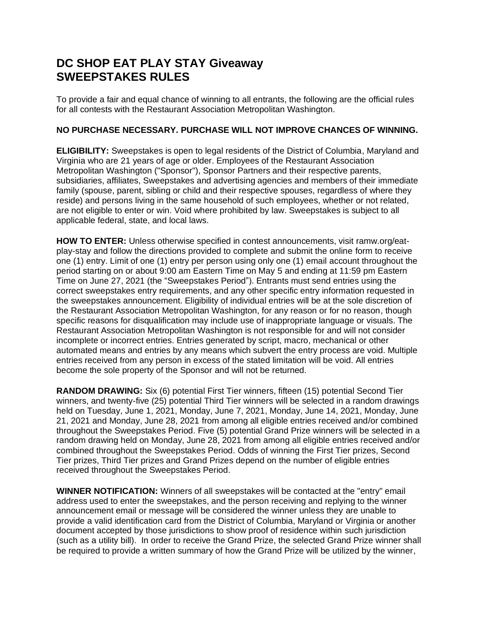## **DC SHOP EAT PLAY STAY Giveaway SWEEPSTAKES RULES**

To provide a fair and equal chance of winning to all entrants, the following are the official rules for all contests with the Restaurant Association Metropolitan Washington.

## **NO PURCHASE NECESSARY. PURCHASE WILL NOT IMPROVE CHANCES OF WINNING.**

**ELIGIBILITY:** Sweepstakes is open to legal residents of the District of Columbia, Maryland and Virginia who are 21 years of age or older. Employees of the Restaurant Association Metropolitan Washington ("Sponsor"), Sponsor Partners and their respective parents, subsidiaries, affiliates, Sweepstakes and advertising agencies and members of their immediate family (spouse, parent, sibling or child and their respective spouses, regardless of where they reside) and persons living in the same household of such employees, whether or not related, are not eligible to enter or win. Void where prohibited by law. Sweepstakes is subject to all applicable federal, state, and local laws.

**HOW TO ENTER:** Unless otherwise specified in contest announcements, visit ramw.org/eatplay-stay and follow the directions provided to complete and submit the online form to receive one (1) entry. Limit of one (1) entry per person using only one (1) email account throughout the period starting on or about 9:00 am Eastern Time on May 5 and ending at 11:59 pm Eastern Time on June 27, 2021 (the "Sweepstakes Period"). Entrants must send entries using the correct sweepstakes entry requirements, and any other specific entry information requested in the sweepstakes announcement. Eligibility of individual entries will be at the sole discretion of the Restaurant Association Metropolitan Washington, for any reason or for no reason, though specific reasons for disqualification may include use of inappropriate language or visuals. The Restaurant Association Metropolitan Washington is not responsible for and will not consider incomplete or incorrect entries. Entries generated by script, macro, mechanical or other automated means and entries by any means which subvert the entry process are void. Multiple entries received from any person in excess of the stated limitation will be void. All entries become the sole property of the Sponsor and will not be returned.

**RANDOM DRAWING:** Six (6) potential First Tier winners, fifteen (15) potential Second Tier winners, and twenty-five (25) potential Third Tier winners will be selected in a random drawings held on Tuesday, June 1, 2021, Monday, June 7, 2021, Monday, June 14, 2021, Monday, June 21, 2021 and Monday, June 28, 2021 from among all eligible entries received and/or combined throughout the Sweepstakes Period. Five (5) potential Grand Prize winners will be selected in a random drawing held on Monday, June 28, 2021 from among all eligible entries received and/or combined throughout the Sweepstakes Period. Odds of winning the First Tier prizes, Second Tier prizes, Third Tier prizes and Grand Prizes depend on the number of eligible entries received throughout the Sweepstakes Period.

**WINNER NOTIFICATION:** Winners of all sweepstakes will be contacted at the "entry" email address used to enter the sweepstakes, and the person receiving and replying to the winner announcement email or message will be considered the winner unless they are unable to provide a valid identification card from the District of Columbia, Maryland or Virginia or another document accepted by those jurisdictions to show proof of residence within such jurisdiction (such as a utility bill). In order to receive the Grand Prize, the selected Grand Prize winner shall be required to provide a written summary of how the Grand Prize will be utilized by the winner,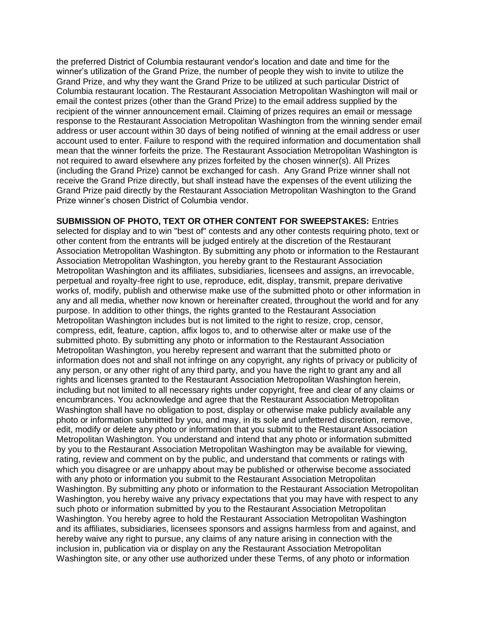the preferred District of Columbia restaurant vendor's location and date and time for the winner's utilization of the Grand Prize, the number of people they wish to invite to utilize the Grand Prize, and why they want the Grand Prize to be utilized at such particular District of Columbia restaurant location. The Restaurant Association Metropolitan Washington will mail or email the contest prizes (other than the Grand Prize) to the email address supplied by the recipient of the winner announcement email. Claiming of prizes requires an email or message response to the Restaurant Association Metropolitan Washington from the winning sender email address or user account within 30 days of being notified of winning at the email address or user account used to enter. Failure to respond with the required information and documentation shall mean that the winner forfeits the prize. The Restaurant Association Metropolitan Washington is not required to award elsewhere any prizes forfeited by the chosen winner(s). All Prizes (including the Grand Prize) cannot be exchanged for cash. Any Grand Prize winner shall not receive the Grand Prize directly, but shall instead have the expenses of the event utilizing the Grand Prize paid directly by the Restaurant Association Metropolitan Washington to the Grand Prize winner's chosen District of Columbia vendor.

**SUBMISSION OF PHOTO, TEXT OR OTHER CONTENT FOR SWEEPSTAKES:** Entries selected for display and to win "best of" contests and any other contests requiring photo, text or other content from the entrants will be judged entirely at the discretion of the Restaurant Association Metropolitan Washington. By submitting any photo or information to the Restaurant Association Metropolitan Washington, you hereby grant to the Restaurant Association Metropolitan Washington and its affiliates, subsidiaries, licensees and assigns, an irrevocable, perpetual and royalty-free right to use, reproduce, edit, display, transmit, prepare derivative works of, modify, publish and otherwise make use of the submitted photo or other information in any and all media, whether now known or hereinafter created, throughout the world and for any purpose. In addition to other things, the rights granted to the Restaurant Association Metropolitan Washington includes but is not limited to the right to resize, crop, censor, compress, edit, feature, caption, affix logos to, and to otherwise alter or make use of the submitted photo. By submitting any photo or information to the Restaurant Association Metropolitan Washington, you hereby represent and warrant that the submitted photo or information does not and shall not infringe on any copyright, any rights of privacy or publicity of any person, or any other right of any third party, and you have the right to grant any and all rights and licenses granted to the Restaurant Association Metropolitan Washington herein, including but not limited to all necessary rights under copyright, free and clear of any claims or encumbrances. You acknowledge and agree that the Restaurant Association Metropolitan Washington shall have no obligation to post, display or otherwise make publicly available any photo or information submitted by you, and may, in its sole and unfettered discretion, remove, edit, modify or delete any photo or information that you submit to the Restaurant Association Metropolitan Washington. You understand and intend that any photo or information submitted by you to the Restaurant Association Metropolitan Washington may be available for viewing, rating, review and comment on by the public, and understand that comments or ratings with which you disagree or are unhappy about may be published or otherwise become associated with any photo or information you submit to the Restaurant Association Metropolitan Washington. By submitting any photo or information to the Restaurant Association Metropolitan Washington, you hereby waive any privacy expectations that you may have with respect to any such photo or information submitted by you to the Restaurant Association Metropolitan Washington. You hereby agree to hold the Restaurant Association Metropolitan Washington and its affiliates, subsidiaries, licensees sponsors and assigns harmless from and against, and hereby waive any right to pursue, any claims of any nature arising in connection with the inclusion in, publication via or display on any the Restaurant Association Metropolitan Washington site, or any other use authorized under these Terms, of any photo or information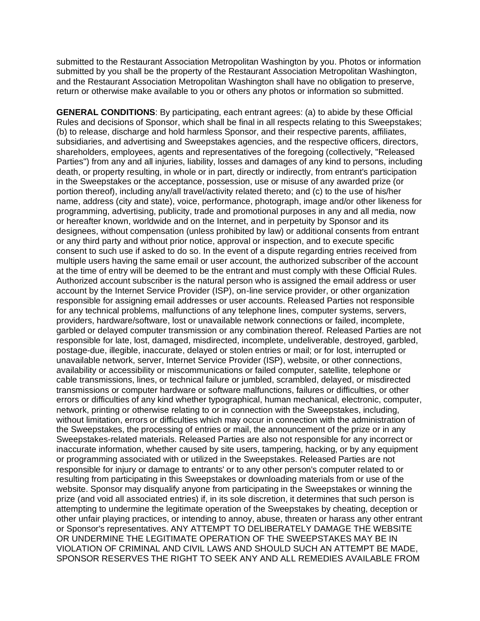submitted to the Restaurant Association Metropolitan Washington by you. Photos or information submitted by you shall be the property of the Restaurant Association Metropolitan Washington, and the Restaurant Association Metropolitan Washington shall have no obligation to preserve, return or otherwise make available to you or others any photos or information so submitted.

**GENERAL CONDITIONS**: By participating, each entrant agrees: (a) to abide by these Official Rules and decisions of Sponsor, which shall be final in all respects relating to this Sweepstakes; (b) to release, discharge and hold harmless Sponsor, and their respective parents, affiliates, subsidiaries, and advertising and Sweepstakes agencies, and the respective officers, directors, shareholders, employees, agents and representatives of the foregoing (collectively, "Released Parties") from any and all injuries, liability, losses and damages of any kind to persons, including death, or property resulting, in whole or in part, directly or indirectly, from entrant's participation in the Sweepstakes or the acceptance, possession, use or misuse of any awarded prize (or portion thereof), including any/all travel/activity related thereto; and (c) to the use of his/her name, address (city and state), voice, performance, photograph, image and/or other likeness for programming, advertising, publicity, trade and promotional purposes in any and all media, now or hereafter known, worldwide and on the Internet, and in perpetuity by Sponsor and its designees, without compensation (unless prohibited by law) or additional consents from entrant or any third party and without prior notice, approval or inspection, and to execute specific consent to such use if asked to do so. In the event of a dispute regarding entries received from multiple users having the same email or user account, the authorized subscriber of the account at the time of entry will be deemed to be the entrant and must comply with these Official Rules. Authorized account subscriber is the natural person who is assigned the email address or user account by the Internet Service Provider (ISP), on-line service provider, or other organization responsible for assigning email addresses or user accounts. Released Parties not responsible for any technical problems, malfunctions of any telephone lines, computer systems, servers, providers, hardware/software, lost or unavailable network connections or failed, incomplete, garbled or delayed computer transmission or any combination thereof. Released Parties are not responsible for late, lost, damaged, misdirected, incomplete, undeliverable, destroyed, garbled, postage-due, illegible, inaccurate, delayed or stolen entries or mail; or for lost, interrupted or unavailable network, server, Internet Service Provider (ISP), website, or other connections, availability or accessibility or miscommunications or failed computer, satellite, telephone or cable transmissions, lines, or technical failure or jumbled, scrambled, delayed, or misdirected transmissions or computer hardware or software malfunctions, failures or difficulties, or other errors or difficulties of any kind whether typographical, human mechanical, electronic, computer, network, printing or otherwise relating to or in connection with the Sweepstakes, including, without limitation, errors or difficulties which may occur in connection with the administration of the Sweepstakes, the processing of entries or mail, the announcement of the prize or in any Sweepstakes-related materials. Released Parties are also not responsible for any incorrect or inaccurate information, whether caused by site users, tampering, hacking, or by any equipment or programming associated with or utilized in the Sweepstakes. Released Parties are not responsible for injury or damage to entrants' or to any other person's computer related to or resulting from participating in this Sweepstakes or downloading materials from or use of the website. Sponsor may disqualify anyone from participating in the Sweepstakes or winning the prize (and void all associated entries) if, in its sole discretion, it determines that such person is attempting to undermine the legitimate operation of the Sweepstakes by cheating, deception or other unfair playing practices, or intending to annoy, abuse, threaten or harass any other entrant or Sponsor's representatives. ANY ATTEMPT TO DELIBERATELY DAMAGE THE WEBSITE OR UNDERMINE THE LEGITIMATE OPERATION OF THE SWEEPSTAKES MAY BE IN VIOLATION OF CRIMINAL AND CIVIL LAWS AND SHOULD SUCH AN ATTEMPT BE MADE, SPONSOR RESERVES THE RIGHT TO SEEK ANY AND ALL REMEDIES AVAILABLE FROM